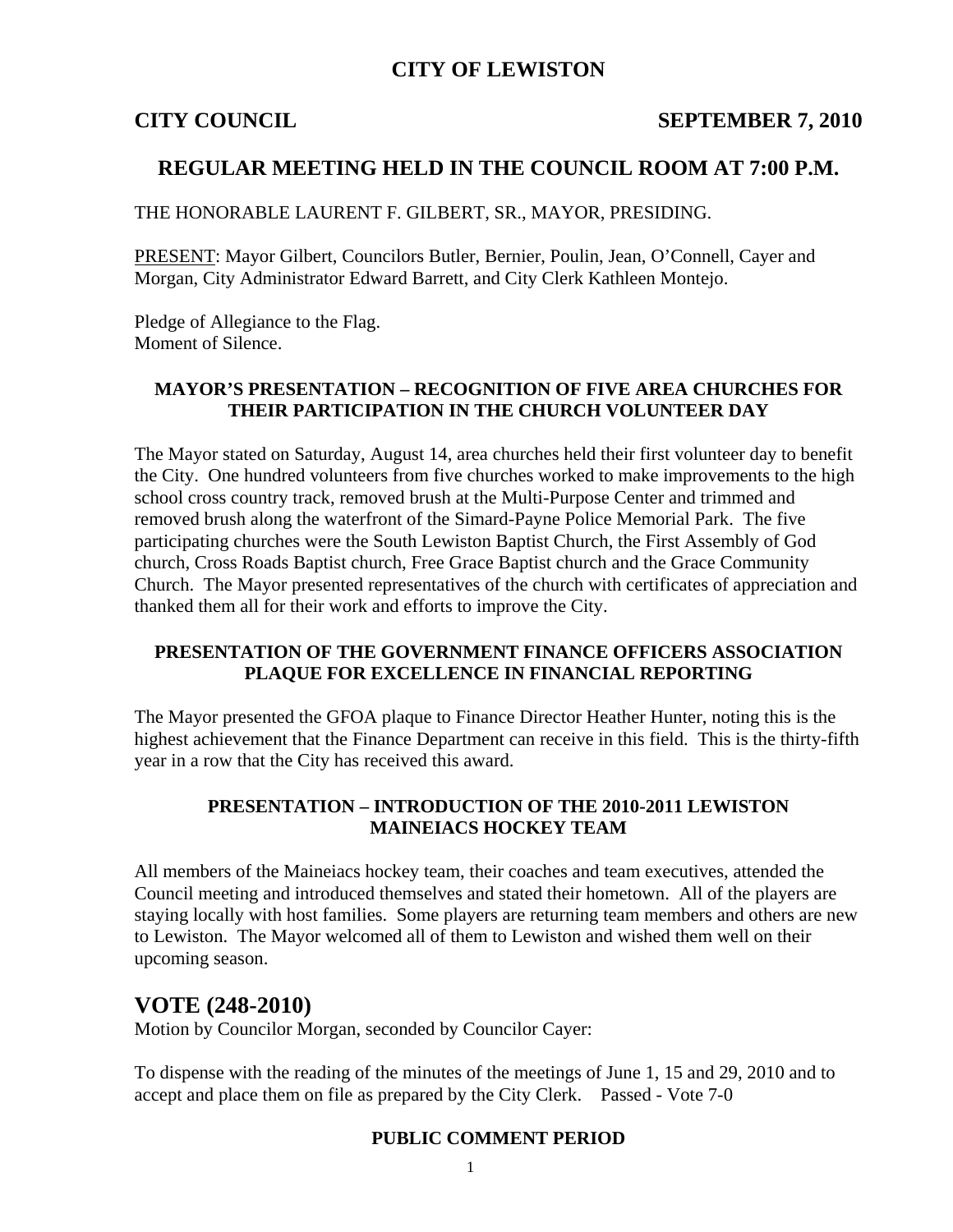## **CITY OF LEWISTON**

#### **CITY COUNCIL SEPTEMBER 7, 2010**

## **REGULAR MEETING HELD IN THE COUNCIL ROOM AT 7:00 P.M.**

THE HONORABLE LAURENT F. GILBERT, SR., MAYOR, PRESIDING.

PRESENT: Mayor Gilbert, Councilors Butler, Bernier, Poulin, Jean, O'Connell, Cayer and Morgan, City Administrator Edward Barrett, and City Clerk Kathleen Montejo.

Pledge of Allegiance to the Flag. Moment of Silence.

#### **MAYOR'S PRESENTATION – RECOGNITION OF FIVE AREA CHURCHES FOR THEIR PARTICIPATION IN THE CHURCH VOLUNTEER DAY**

The Mayor stated on Saturday, August 14, area churches held their first volunteer day to benefit the City. One hundred volunteers from five churches worked to make improvements to the high school cross country track, removed brush at the Multi-Purpose Center and trimmed and removed brush along the waterfront of the Simard-Payne Police Memorial Park. The five participating churches were the South Lewiston Baptist Church, the First Assembly of God church, Cross Roads Baptist church, Free Grace Baptist church and the Grace Community Church. The Mayor presented representatives of the church with certificates of appreciation and thanked them all for their work and efforts to improve the City.

#### **PRESENTATION OF THE GOVERNMENT FINANCE OFFICERS ASSOCIATION PLAQUE FOR EXCELLENCE IN FINANCIAL REPORTING**

The Mayor presented the GFOA plaque to Finance Director Heather Hunter, noting this is the highest achievement that the Finance Department can receive in this field. This is the thirty-fifth year in a row that the City has received this award.

#### **PRESENTATION – INTRODUCTION OF THE 2010-2011 LEWISTON MAINEIACS HOCKEY TEAM**

All members of the Maineiacs hockey team, their coaches and team executives, attended the Council meeting and introduced themselves and stated their hometown. All of the players are staying locally with host families. Some players are returning team members and others are new to Lewiston. The Mayor welcomed all of them to Lewiston and wished them well on their upcoming season.

### **VOTE (248-2010)**

Motion by Councilor Morgan, seconded by Councilor Cayer:

To dispense with the reading of the minutes of the meetings of June 1, 15 and 29, 2010 and to accept and place them on file as prepared by the City Clerk. Passed - Vote 7-0

#### **PUBLIC COMMENT PERIOD**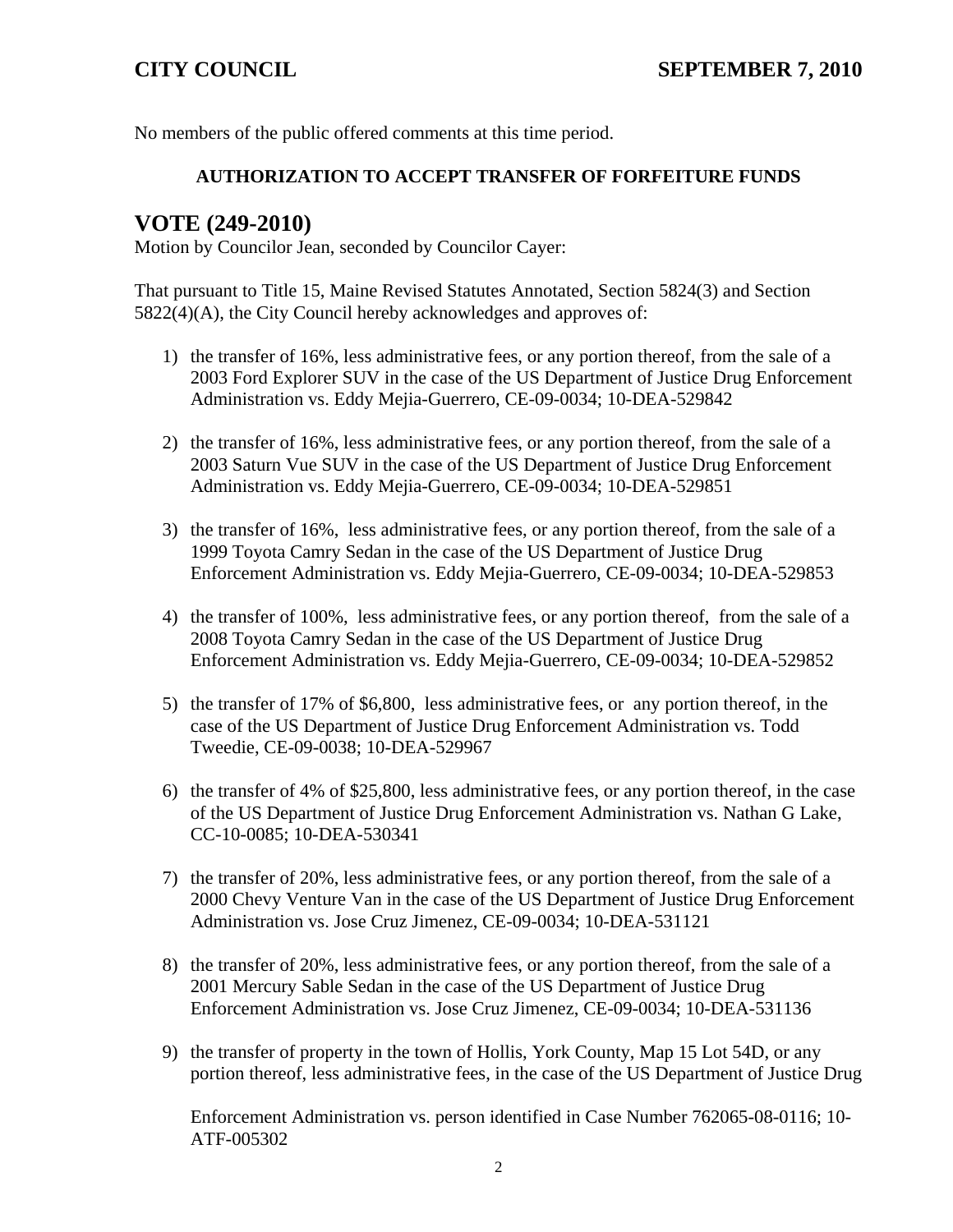No members of the public offered comments at this time period.

### **AUTHORIZATION TO ACCEPT TRANSFER OF FORFEITURE FUNDS**

# **VOTE (249-2010)**

Motion by Councilor Jean, seconded by Councilor Cayer:

That pursuant to Title 15, Maine Revised Statutes Annotated, Section 5824(3) and Section 5822(4)(A), the City Council hereby acknowledges and approves of:

- 1) the transfer of 16%, less administrative fees, or any portion thereof, from the sale of a 2003 Ford Explorer SUV in the case of the US Department of Justice Drug Enforcement Administration vs. Eddy Mejia-Guerrero, CE-09-0034; 10-DEA-529842
- 2) the transfer of 16%, less administrative fees, or any portion thereof, from the sale of a 2003 Saturn Vue SUV in the case of the US Department of Justice Drug Enforcement Administration vs. Eddy Mejia-Guerrero, CE-09-0034; 10-DEA-529851
- 3) the transfer of 16%, less administrative fees, or any portion thereof, from the sale of a 1999 Toyota Camry Sedan in the case of the US Department of Justice Drug Enforcement Administration vs. Eddy Mejia-Guerrero, CE-09-0034; 10-DEA-529853
- 4) the transfer of 100%, less administrative fees, or any portion thereof, from the sale of a 2008 Toyota Camry Sedan in the case of the US Department of Justice Drug Enforcement Administration vs. Eddy Mejia-Guerrero, CE-09-0034; 10-DEA-529852
- 5) the transfer of 17% of \$6,800, less administrative fees, or any portion thereof, in the case of the US Department of Justice Drug Enforcement Administration vs. Todd Tweedie, CE-09-0038; 10-DEA-529967
- 6) the transfer of 4% of \$25,800, less administrative fees, or any portion thereof, in the case of the US Department of Justice Drug Enforcement Administration vs. Nathan G Lake, CC-10-0085; 10-DEA-530341
- 7) the transfer of 20%, less administrative fees, or any portion thereof, from the sale of a 2000 Chevy Venture Van in the case of the US Department of Justice Drug Enforcement Administration vs. Jose Cruz Jimenez, CE-09-0034; 10-DEA-531121
- 8) the transfer of 20%, less administrative fees, or any portion thereof, from the sale of a 2001 Mercury Sable Sedan in the case of the US Department of Justice Drug Enforcement Administration vs. Jose Cruz Jimenez, CE-09-0034; 10-DEA-531136
- 9) the transfer of property in the town of Hollis, York County, Map 15 Lot 54D, or any portion thereof, less administrative fees, in the case of the US Department of Justice Drug

Enforcement Administration vs. person identified in Case Number 762065-08-0116; 10- ATF-005302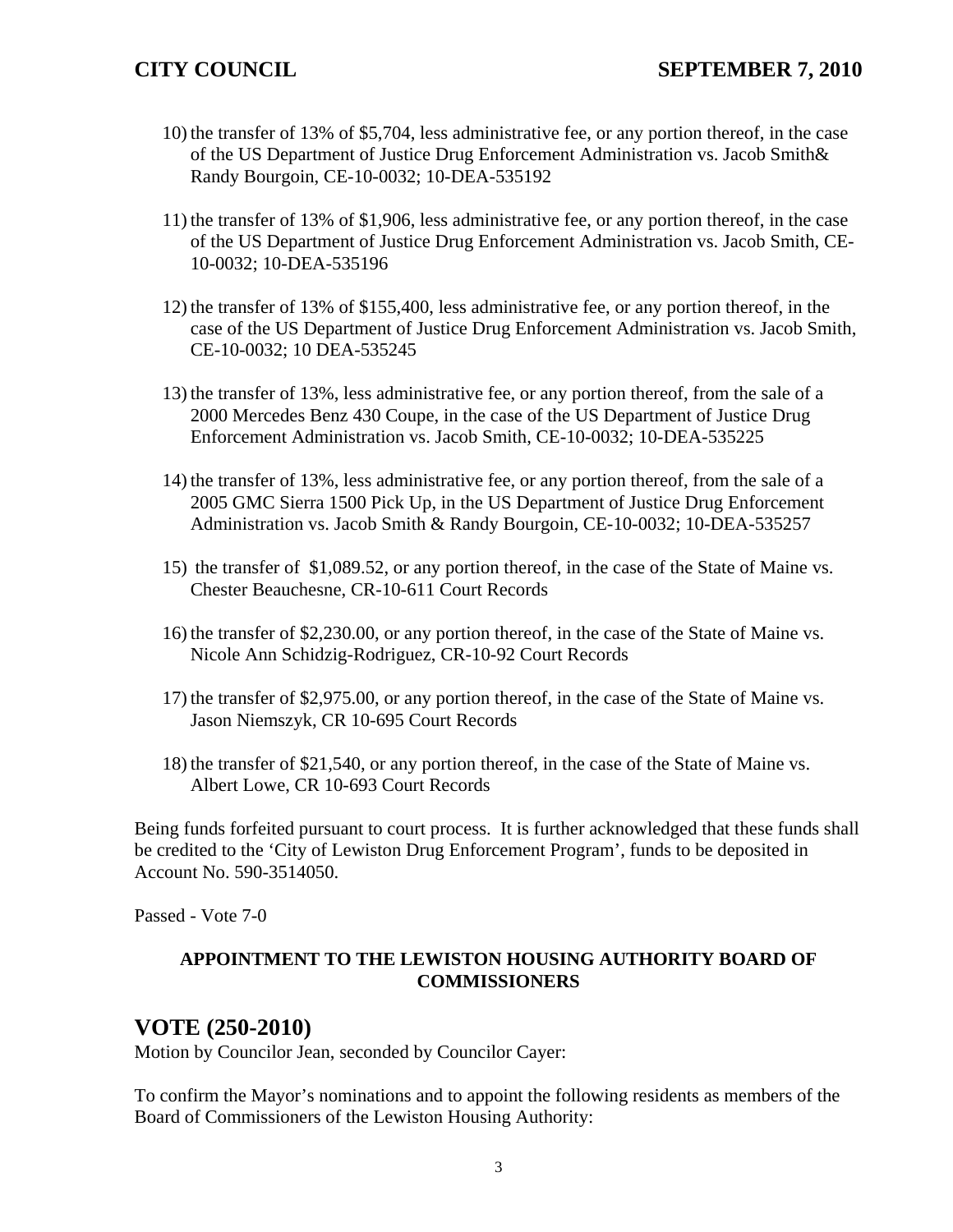- 10) the transfer of 13% of \$5,704, less administrative fee, or any portion thereof, in the case of the US Department of Justice Drug Enforcement Administration vs. Jacob Smith& Randy Bourgoin, CE-10-0032; 10-DEA-535192
- 11) the transfer of 13% of \$1,906, less administrative fee, or any portion thereof, in the case of the US Department of Justice Drug Enforcement Administration vs. Jacob Smith, CE-10-0032; 10-DEA-535196
- 12) the transfer of 13% of \$155,400, less administrative fee, or any portion thereof, in the case of the US Department of Justice Drug Enforcement Administration vs. Jacob Smith, CE-10-0032; 10 DEA-535245
- 13) the transfer of 13%, less administrative fee, or any portion thereof, from the sale of a 2000 Mercedes Benz 430 Coupe, in the case of the US Department of Justice Drug Enforcement Administration vs. Jacob Smith, CE-10-0032; 10-DEA-535225
- 14) the transfer of 13%, less administrative fee, or any portion thereof, from the sale of a 2005 GMC Sierra 1500 Pick Up, in the US Department of Justice Drug Enforcement Administration vs. Jacob Smith & Randy Bourgoin, CE-10-0032; 10-DEA-535257
- 15) the transfer of \$1,089.52, or any portion thereof, in the case of the State of Maine vs. Chester Beauchesne, CR-10-611 Court Records
- 16) the transfer of \$2,230.00, or any portion thereof, in the case of the State of Maine vs. Nicole Ann Schidzig-Rodriguez, CR-10-92 Court Records
- 17) the transfer of \$2,975.00, or any portion thereof, in the case of the State of Maine vs. Jason Niemszyk, CR 10-695 Court Records
- 18) the transfer of \$21,540, or any portion thereof, in the case of the State of Maine vs. Albert Lowe, CR 10-693 Court Records

Being funds forfeited pursuant to court process. It is further acknowledged that these funds shall be credited to the 'City of Lewiston Drug Enforcement Program', funds to be deposited in Account No. 590-3514050.

Passed - Vote 7-0

### **APPOINTMENT TO THE LEWISTON HOUSING AUTHORITY BOARD OF COMMISSIONERS**

# **VOTE (250-2010)**

Motion by Councilor Jean, seconded by Councilor Cayer:

To confirm the Mayor's nominations and to appoint the following residents as members of the Board of Commissioners of the Lewiston Housing Authority: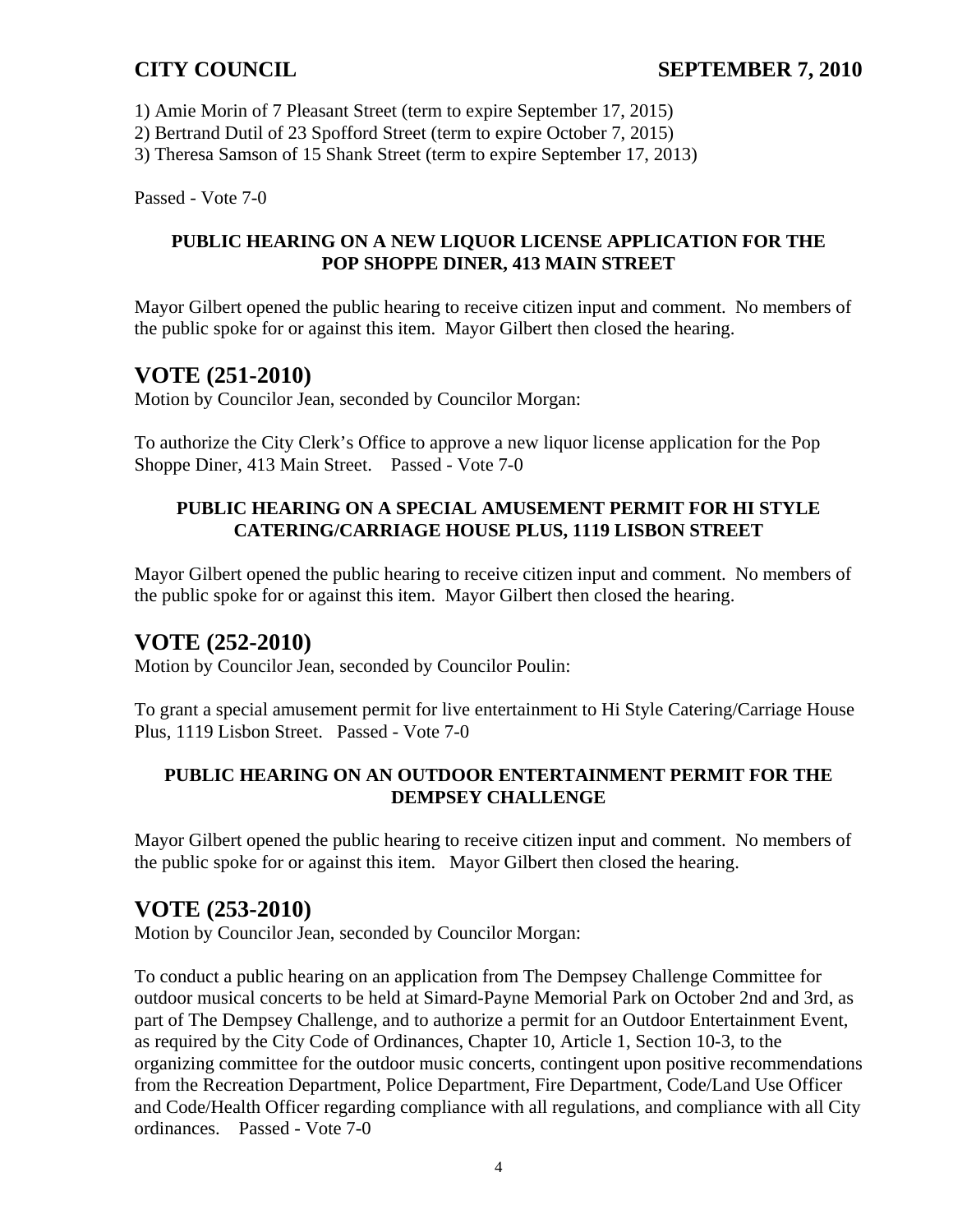1) Amie Morin of 7 Pleasant Street (term to expire September 17, 2015)

2) Bertrand Dutil of 23 Spofford Street (term to expire October 7, 2015)

3) Theresa Samson of 15 Shank Street (term to expire September 17, 2013)

Passed - Vote 7-0

## **PUBLIC HEARING ON A NEW LIQUOR LICENSE APPLICATION FOR THE POP SHOPPE DINER, 413 MAIN STREET**

Mayor Gilbert opened the public hearing to receive citizen input and comment. No members of the public spoke for or against this item. Mayor Gilbert then closed the hearing.

# **VOTE (251-2010)**

Motion by Councilor Jean, seconded by Councilor Morgan:

To authorize the City Clerk's Office to approve a new liquor license application for the Pop Shoppe Diner, 413 Main Street. Passed - Vote 7-0

## **PUBLIC HEARING ON A SPECIAL AMUSEMENT PERMIT FOR HI STYLE CATERING/CARRIAGE HOUSE PLUS, 1119 LISBON STREET**

Mayor Gilbert opened the public hearing to receive citizen input and comment. No members of the public spoke for or against this item. Mayor Gilbert then closed the hearing.

# **VOTE (252-2010)**

Motion by Councilor Jean, seconded by Councilor Poulin:

To grant a special amusement permit for live entertainment to Hi Style Catering/Carriage House Plus, 1119 Lisbon Street. Passed - Vote 7-0

## **PUBLIC HEARING ON AN OUTDOOR ENTERTAINMENT PERMIT FOR THE DEMPSEY CHALLENGE**

Mayor Gilbert opened the public hearing to receive citizen input and comment. No members of the public spoke for or against this item. Mayor Gilbert then closed the hearing.

# **VOTE (253-2010)**

Motion by Councilor Jean, seconded by Councilor Morgan:

To conduct a public hearing on an application from The Dempsey Challenge Committee for outdoor musical concerts to be held at Simard-Payne Memorial Park on October 2nd and 3rd, as part of The Dempsey Challenge, and to authorize a permit for an Outdoor Entertainment Event, as required by the City Code of Ordinances, Chapter 10, Article 1, Section 10-3, to the organizing committee for the outdoor music concerts, contingent upon positive recommendations from the Recreation Department, Police Department, Fire Department, Code/Land Use Officer and Code/Health Officer regarding compliance with all regulations, and compliance with all City ordinances. Passed - Vote 7-0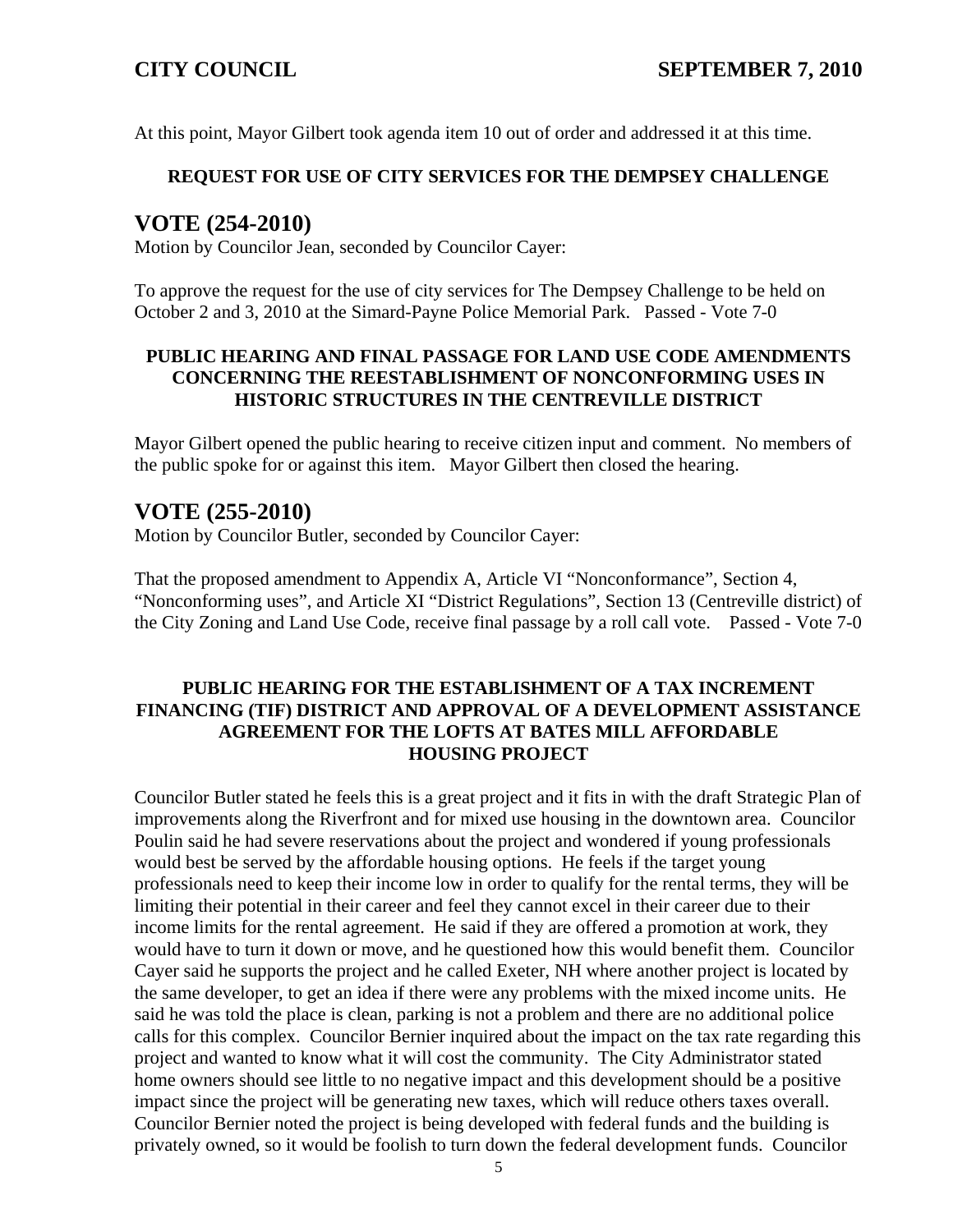At this point, Mayor Gilbert took agenda item 10 out of order and addressed it at this time.

#### **REQUEST FOR USE OF CITY SERVICES FOR THE DEMPSEY CHALLENGE**

# **VOTE (254-2010)**

Motion by Councilor Jean, seconded by Councilor Cayer:

To approve the request for the use of city services for The Dempsey Challenge to be held on October 2 and 3, 2010 at the Simard-Payne Police Memorial Park. Passed - Vote 7-0

### **PUBLIC HEARING AND FINAL PASSAGE FOR LAND USE CODE AMENDMENTS CONCERNING THE REESTABLISHMENT OF NONCONFORMING USES IN HISTORIC STRUCTURES IN THE CENTREVILLE DISTRICT**

Mayor Gilbert opened the public hearing to receive citizen input and comment. No members of the public spoke for or against this item. Mayor Gilbert then closed the hearing.

# **VOTE (255-2010)**

Motion by Councilor Butler, seconded by Councilor Cayer:

That the proposed amendment to Appendix A, Article VI "Nonconformance", Section 4, "Nonconforming uses", and Article XI "District Regulations", Section 13 (Centreville district) of the City Zoning and Land Use Code, receive final passage by a roll call vote. Passed - Vote 7-0

#### **PUBLIC HEARING FOR THE ESTABLISHMENT OF A TAX INCREMENT FINANCING (TIF) DISTRICT AND APPROVAL OF A DEVELOPMENT ASSISTANCE AGREEMENT FOR THE LOFTS AT BATES MILL AFFORDABLE HOUSING PROJECT**

Councilor Butler stated he feels this is a great project and it fits in with the draft Strategic Plan of improvements along the Riverfront and for mixed use housing in the downtown area. Councilor Poulin said he had severe reservations about the project and wondered if young professionals would best be served by the affordable housing options. He feels if the target young professionals need to keep their income low in order to qualify for the rental terms, they will be limiting their potential in their career and feel they cannot excel in their career due to their income limits for the rental agreement. He said if they are offered a promotion at work, they would have to turn it down or move, and he questioned how this would benefit them. Councilor Cayer said he supports the project and he called Exeter, NH where another project is located by the same developer, to get an idea if there were any problems with the mixed income units. He said he was told the place is clean, parking is not a problem and there are no additional police calls for this complex. Councilor Bernier inquired about the impact on the tax rate regarding this project and wanted to know what it will cost the community. The City Administrator stated home owners should see little to no negative impact and this development should be a positive impact since the project will be generating new taxes, which will reduce others taxes overall. Councilor Bernier noted the project is being developed with federal funds and the building is privately owned, so it would be foolish to turn down the federal development funds. Councilor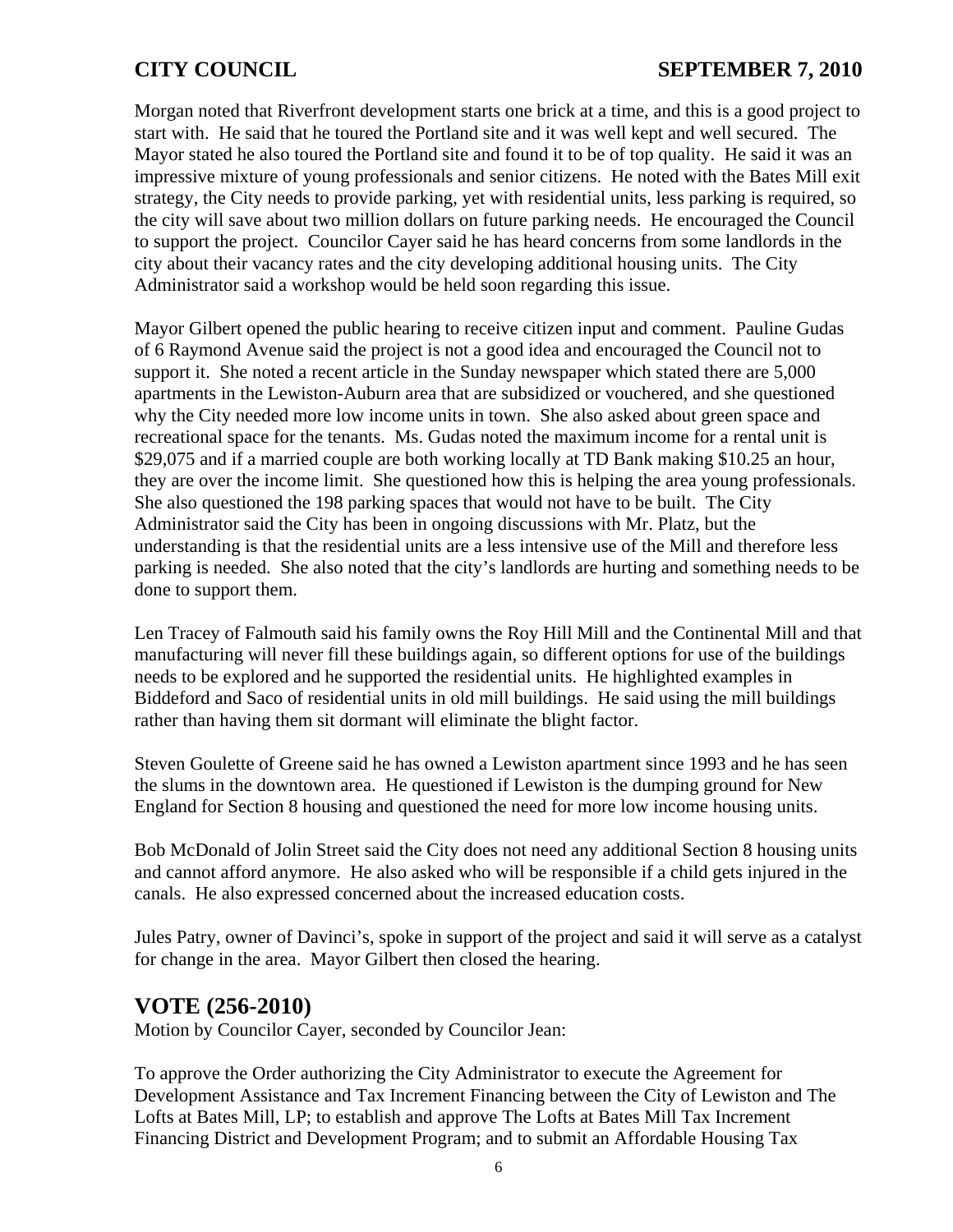Morgan noted that Riverfront development starts one brick at a time, and this is a good project to start with. He said that he toured the Portland site and it was well kept and well secured. The Mayor stated he also toured the Portland site and found it to be of top quality. He said it was an impressive mixture of young professionals and senior citizens. He noted with the Bates Mill exit strategy, the City needs to provide parking, yet with residential units, less parking is required, so the city will save about two million dollars on future parking needs. He encouraged the Council to support the project. Councilor Cayer said he has heard concerns from some landlords in the city about their vacancy rates and the city developing additional housing units. The City Administrator said a workshop would be held soon regarding this issue.

Mayor Gilbert opened the public hearing to receive citizen input and comment. Pauline Gudas of 6 Raymond Avenue said the project is not a good idea and encouraged the Council not to support it. She noted a recent article in the Sunday newspaper which stated there are 5,000 apartments in the Lewiston-Auburn area that are subsidized or vouchered, and she questioned why the City needed more low income units in town. She also asked about green space and recreational space for the tenants. Ms. Gudas noted the maximum income for a rental unit is \$29,075 and if a married couple are both working locally at TD Bank making \$10.25 an hour, they are over the income limit. She questioned how this is helping the area young professionals. She also questioned the 198 parking spaces that would not have to be built. The City Administrator said the City has been in ongoing discussions with Mr. Platz, but the understanding is that the residential units are a less intensive use of the Mill and therefore less parking is needed. She also noted that the city's landlords are hurting and something needs to be done to support them.

Len Tracey of Falmouth said his family owns the Roy Hill Mill and the Continental Mill and that manufacturing will never fill these buildings again, so different options for use of the buildings needs to be explored and he supported the residential units. He highlighted examples in Biddeford and Saco of residential units in old mill buildings. He said using the mill buildings rather than having them sit dormant will eliminate the blight factor.

Steven Goulette of Greene said he has owned a Lewiston apartment since 1993 and he has seen the slums in the downtown area. He questioned if Lewiston is the dumping ground for New England for Section 8 housing and questioned the need for more low income housing units.

Bob McDonald of Jolin Street said the City does not need any additional Section 8 housing units and cannot afford anymore. He also asked who will be responsible if a child gets injured in the canals. He also expressed concerned about the increased education costs.

Jules Patry, owner of Davinci's, spoke in support of the project and said it will serve as a catalyst for change in the area. Mayor Gilbert then closed the hearing.

# **VOTE (256-2010)**

Motion by Councilor Cayer, seconded by Councilor Jean:

To approve the Order authorizing the City Administrator to execute the Agreement for Development Assistance and Tax Increment Financing between the City of Lewiston and The Lofts at Bates Mill, LP; to establish and approve The Lofts at Bates Mill Tax Increment Financing District and Development Program; and to submit an Affordable Housing Tax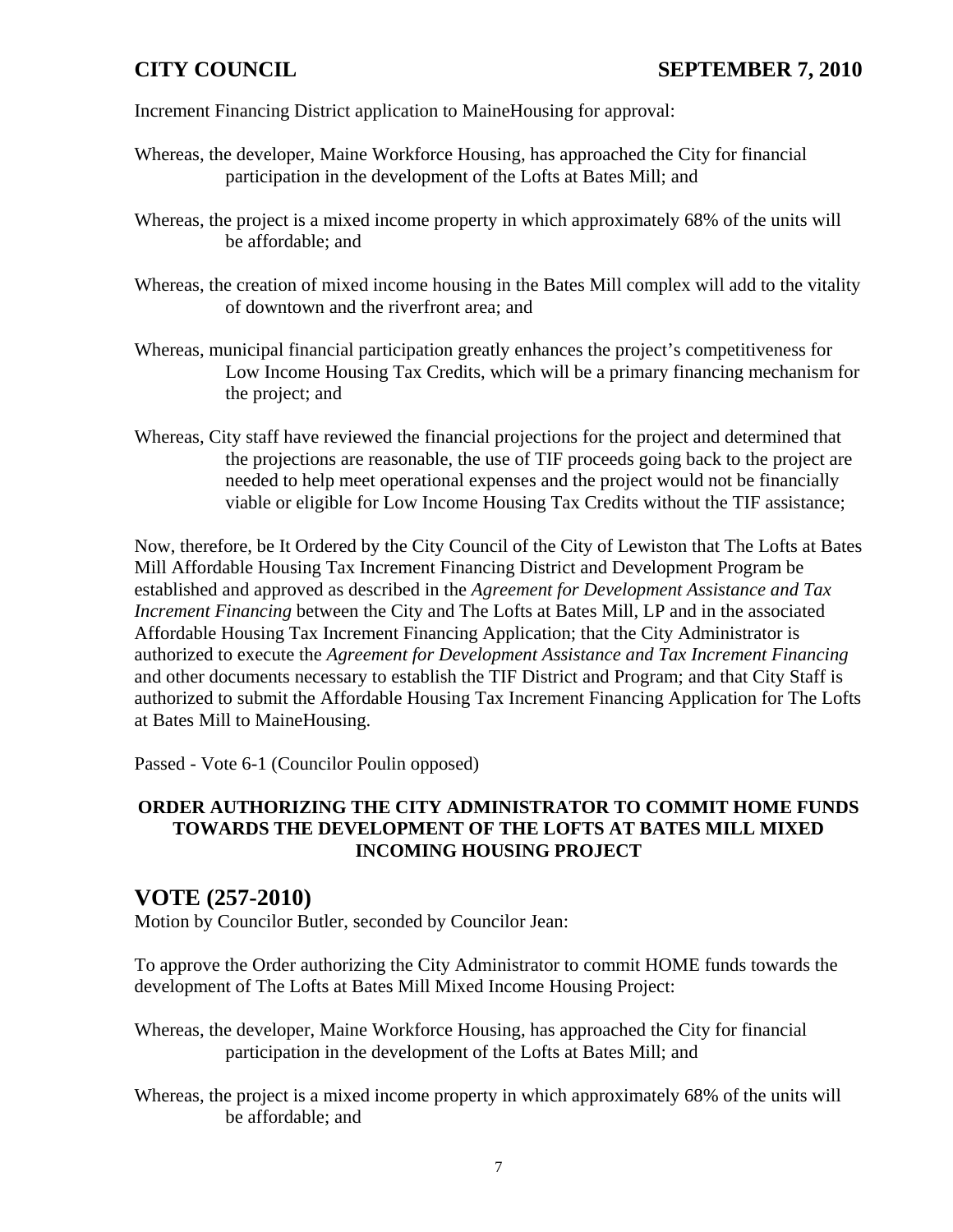Increment Financing District application to MaineHousing for approval:

- Whereas, the developer, Maine Workforce Housing, has approached the City for financial participation in the development of the Lofts at Bates Mill; and
- Whereas, the project is a mixed income property in which approximately 68% of the units will be affordable; and
- Whereas, the creation of mixed income housing in the Bates Mill complex will add to the vitality of downtown and the riverfront area; and
- Whereas, municipal financial participation greatly enhances the project's competitiveness for Low Income Housing Tax Credits, which will be a primary financing mechanism for the project; and
- Whereas, City staff have reviewed the financial projections for the project and determined that the projections are reasonable, the use of TIF proceeds going back to the project are needed to help meet operational expenses and the project would not be financially viable or eligible for Low Income Housing Tax Credits without the TIF assistance;

Now, therefore, be It Ordered by the City Council of the City of Lewiston that The Lofts at Bates Mill Affordable Housing Tax Increment Financing District and Development Program be established and approved as described in the *Agreement for Development Assistance and Tax Increment Financing* between the City and The Lofts at Bates Mill, LP and in the associated Affordable Housing Tax Increment Financing Application; that the City Administrator is authorized to execute the *Agreement for Development Assistance and Tax Increment Financing* and other documents necessary to establish the TIF District and Program; and that City Staff is authorized to submit the Affordable Housing Tax Increment Financing Application for The Lofts at Bates Mill to MaineHousing.

Passed - Vote 6-1 (Councilor Poulin opposed)

### **ORDER AUTHORIZING THE CITY ADMINISTRATOR TO COMMIT HOME FUNDS TOWARDS THE DEVELOPMENT OF THE LOFTS AT BATES MILL MIXED INCOMING HOUSING PROJECT**

## **VOTE (257-2010)**

Motion by Councilor Butler, seconded by Councilor Jean:

To approve the Order authorizing the City Administrator to commit HOME funds towards the development of The Lofts at Bates Mill Mixed Income Housing Project:

- Whereas, the developer, Maine Workforce Housing, has approached the City for financial participation in the development of the Lofts at Bates Mill; and
- Whereas, the project is a mixed income property in which approximately 68% of the units will be affordable; and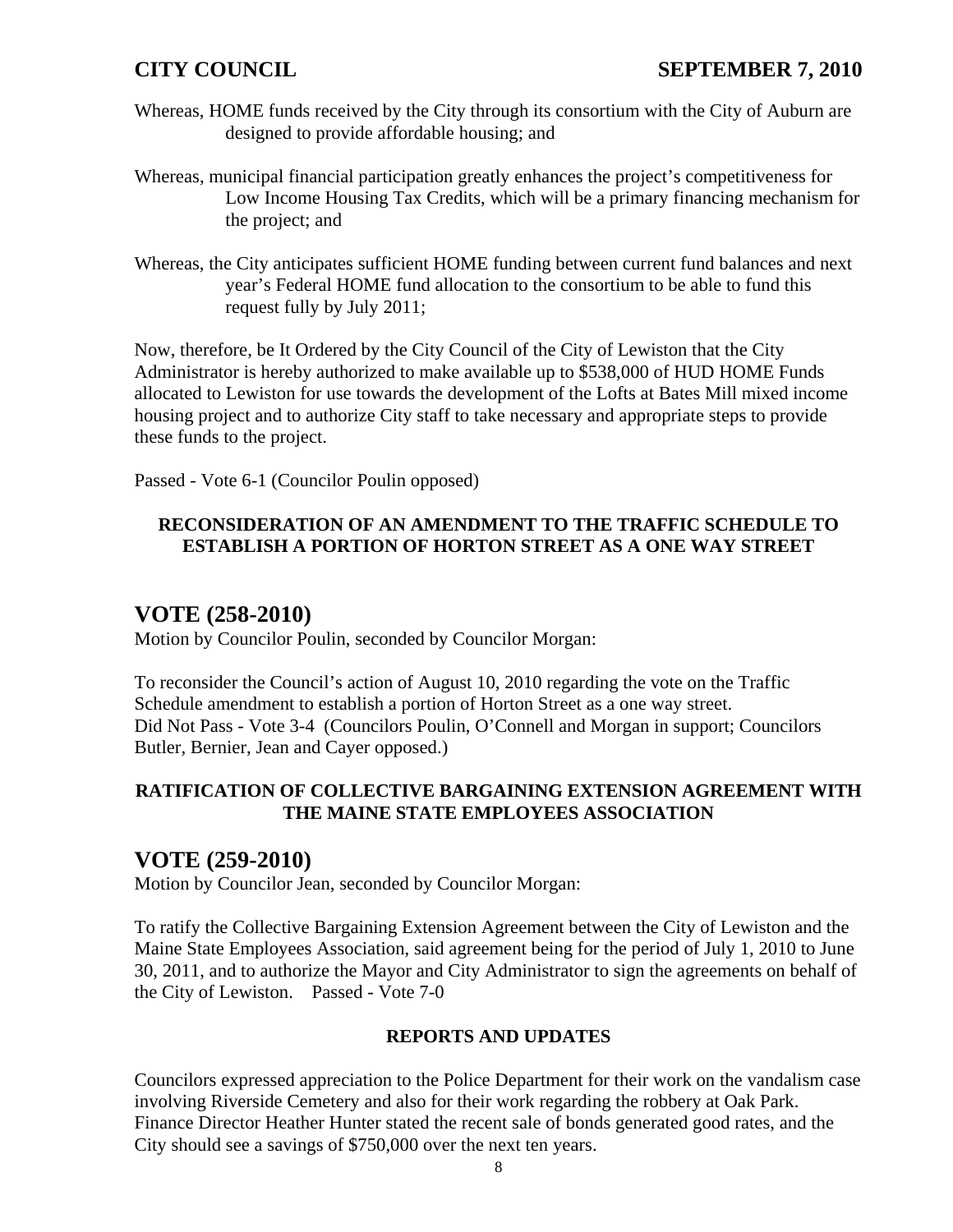- Whereas, HOME funds received by the City through its consortium with the City of Auburn are designed to provide affordable housing; and
- Whereas, municipal financial participation greatly enhances the project's competitiveness for Low Income Housing Tax Credits, which will be a primary financing mechanism for the project; and
- Whereas, the City anticipates sufficient HOME funding between current fund balances and next year's Federal HOME fund allocation to the consortium to be able to fund this request fully by July 2011;

Now, therefore, be It Ordered by the City Council of the City of Lewiston that the City Administrator is hereby authorized to make available up to \$538,000 of HUD HOME Funds allocated to Lewiston for use towards the development of the Lofts at Bates Mill mixed income housing project and to authorize City staff to take necessary and appropriate steps to provide these funds to the project.

Passed - Vote 6-1 (Councilor Poulin opposed)

## **RECONSIDERATION OF AN AMENDMENT TO THE TRAFFIC SCHEDULE TO ESTABLISH A PORTION OF HORTON STREET AS A ONE WAY STREET**

# **VOTE (258-2010)**

Motion by Councilor Poulin, seconded by Councilor Morgan:

To reconsider the Council's action of August 10, 2010 regarding the vote on the Traffic Schedule amendment to establish a portion of Horton Street as a one way street. Did Not Pass - Vote 3-4 (Councilors Poulin, O'Connell and Morgan in support; Councilors Butler, Bernier, Jean and Cayer opposed.)

### **RATIFICATION OF COLLECTIVE BARGAINING EXTENSION AGREEMENT WITH THE MAINE STATE EMPLOYEES ASSOCIATION**

# **VOTE (259-2010)**

Motion by Councilor Jean, seconded by Councilor Morgan:

To ratify the Collective Bargaining Extension Agreement between the City of Lewiston and the Maine State Employees Association, said agreement being for the period of July 1, 2010 to June 30, 2011, and to authorize the Mayor and City Administrator to sign the agreements on behalf of the City of Lewiston. Passed - Vote 7-0

### **REPORTS AND UPDATES**

Councilors expressed appreciation to the Police Department for their work on the vandalism case involving Riverside Cemetery and also for their work regarding the robbery at Oak Park. Finance Director Heather Hunter stated the recent sale of bonds generated good rates, and the City should see a savings of \$750,000 over the next ten years.